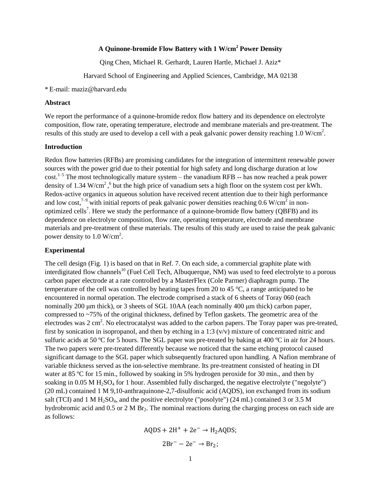# **A Quinone-bromide Flow Battery with 1 W/cm<sup>2</sup> Power Density**

Qing Chen, Michael R. Gerhardt, Lauren Hartle, Michael J. Aziz\*

Harvard School of Engineering and Applied Sciences, Cambridge, MA 02138

#### \* E-mail: maziz@harvard.edu

### **Abstract**

We report the performance of a quinone-bromide redox flow battery and its dependence on electrolyte composition, flow rate, operating temperature, electrode and membrane materials and pre-treatment. The results of this study are used to develop a cell with a peak galvanic power density reaching 1.0 W/cm<sup>2</sup>.

### **Introduction**

Redox flow batteries (RFBs) are promising candidates for the integration of intermittent renewable power sources with the power grid due to their potential for high safety and long discharge duration at low cost.<sup>1-5</sup> The most technologically mature system – the vanadium RFB -- has now reached a peak power density of 1.34 W/cm<sup>2</sup>,<sup>6</sup> but the high price of vanadium sets a high floor on the system cost per kWh. Redox-active organics in aqueous solution have received recent attention due to their high performance and low cost,<sup>7-9</sup> with initial reports of peak galvanic power densities reaching 0.6 W/cm<sup>2</sup> in nonoptimized cells<sup>7</sup>. Here we study the performance of a quinone-bromide flow battery (QBFB) and its dependence on electrolyte composition, flow rate, operating temperature, electrode and membrane materials and pre-treatment of these materials. The results of this study are used to raise the peak galvanic power density to  $1.0 \text{ W/cm}^2$ .

## **Experimental**

The cell design (Fig. 1) is based on that in Ref. 7. On each side, a commercial graphite plate with interdigitated flow channels<sup>10</sup> (Fuel Cell Tech, Albuquerque, NM) was used to feed electrolyte to a porous carbon paper electrode at a rate controlled by a MasterFlex (Cole Parmer) diaphragm pump. The temperature of the cell was controlled by heating tapes from 20 to 45 °C, a range anticipated to be encountered in normal operation. The electrode comprised a stack of 6 sheets of Toray 060 (each nominally 200 μm thick), or 3 sheets of SGL 10AA (each nominally 400 μm thick) carbon paper, compressed to ~75% of the original thickness, defined by Teflon gaskets. The geometric area of the electrodes was 2 cm<sup>2</sup>. No electrocatalyst was added to the carbon papers. The Toray paper was pre-treated, first by sonication in isopropanol, and then by etching in a 1:3  $(v/v)$  mixture of concentrated nitric and sulfuric acids at 50  $\degree$  C for 5 hours. The SGL paper was pre-treated by baking at 400  $\degree$  C in air for 24 hours. The two papers were pre-treated differently because we noticed that the same etching protocol caused significant damage to the SGL paper which subsequently fractured upon handling. A Nafion membrane of variable thickness served as the ion-selective membrane. Its pre-treatment consisted of heating in DI water at 85  $\degree$ C for 15 min., followed by soaking in 5% hydrogen peroxide for 30 min., and then by soaking in 0.05 M  $H_2SO_4$  for 1 hour. Assembled fully discharged, the negative electrolyte ("negolyte") (20 mL) contained 1 M 9,10-anthraquinone-2,7-disulfonic acid (AQDS), ion exchanged from its sodium salt (TCI) and 1 M H<sub>2</sub>SO<sub>4</sub>, and the positive electrolyte ("posolyte") (24 mL) contained 3 or 3.5 M hydrobromic acid and  $0.5$  or  $2 M Br<sub>2</sub>$ . The nominal reactions during the charging process on each side are as follows:

$$
AQDS + 2H^{+} + 2e^{-} \rightarrow H_{2}AQDS;
$$
  

$$
2Br^{-} - 2e^{-} \rightarrow Br_{2};
$$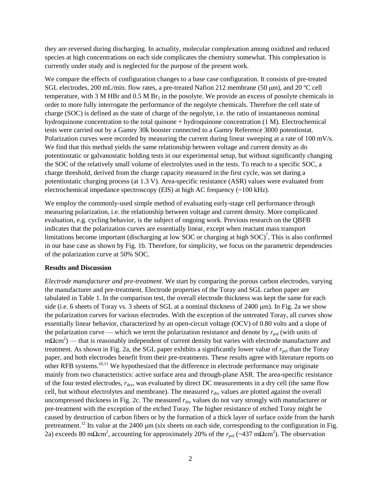they are reversed during discharging. In actuality, molecular complexation among oxidized and reduced species at high concentrations on each side complicates the chemistry somewhat. This complexation is currently under study and is neglected for the purpose of the present work.

We compare the effects of configuration changes to a base case configuration. It consists of pre-treated SGL electrodes, 200 mL/min. flow rates, a pre-treated Nafion 212 membrane (50  $\mu$ m), and 20 °C cell temperature, with 3 M HBr and  $0.5$  M Br<sub>2</sub> in the posolyte. We provide an excess of posolyte chemicals in order to more fully interrogate the performance of the negolyte chemicals. Therefore the cell state of charge (SOC) is defined as the state of charge of the negolyte, i.e. the ratio of instantaneous nominal hydroquinone concentration to the total quinone + hydroquinone concentration (1 M). Electrochemical tests were carried out by a Gamry 30k booster connected to a Gamry Reference 3000 potentiostat. Polarization curves were recorded by measuring the current during linear sweeping at a rate of 100 mV/s. We find that this method yields the same relationship between voltage and current density as do potentiostatic or galvanostatic holding tests in our experimental setup, but without significantly changing the SOC of the relatively small volume of electrolytes used in the tests. To reach to a specific SOC, a charge threshold, derived from the charge capacity measured in the first cycle, was set during a potentiostatic charging process (at 1.3 V). Area-specific resistance (ASR) values were evaluated from electrochemical impedance spectroscopy (EIS) at high AC frequency (~100 kHz).

We employ the commonly-used simple method of evaluating early-stage cell performance through measuring polarization, i.e. the relationship between voltage and current density. More complicated evaluation, e.g. cycling behavior, is the subject of ongoing work. Previous research on the QBFB indicates that the polarization curves are essentially linear, except when reactant mass transport limitations become important (discharging at low SOC or charging at high  $SOC$ )<sup>7</sup>. This is also confirmed in our base case as shown by Fig. 1b. Therefore, for simplicity, we focus on the parametric dependencies of the polarization curve at 50% SOC.

## **Results and Discussion**

*Electrode manufacturer and pre-treatment.* We start by comparing the porous carbon electrodes, varying the manufacturer and pre-treatment. Electrode properties of the Toray and SGL carbon paper are tabulated in Table 1. In the comparison test, the overall electrode thickness was kept the same for each side (i.e. 6 sheets of Toray vs. 3 sheets of SGL at a nominal thickness of 2400 μm). In Fig. 2a we show the polarization curves for various electrodes. With the exception of the untreated Toray, all curves show essentially linear behavior, characterized by an open-circuit voltage (OCV) of 0.80 volts and a slope of the polarization curve — which we term the polarization resistance and denote by  $r_{\text{pol}}$  (with units of  $m\Omega$ cm<sup>2</sup>) — that is reasonably independent of current density but varies with electrode manufacturer and treatment. As shown in Fig. 2a, the SGL paper exhibits a significantly lower value of  $r_{pol}$  than the Toray paper, and both electrodes benefit from their pre-treatments. These results agree with literature reports on other RFB systems.<sup>10,11</sup> We hypothesized that the difference in electrode performance may originate mainly from two characteristics: active surface area and through-plane ASR. The area-specific resistance of the four tested electrodes,  $r_{\text{dry}}$ , was evaluated by direct DC measurements in a dry cell (the same flow cell, but without electrolytes and membrane). The measured  $r_{\text{dry}}$  values are plotted against the overall uncompressed thickness in Fig. 2c. The measured  $r_{\text{dry}}$  values do not vary strongly with manufacturer or pre-treatment with the exception of the etched Toray. The higher resistance of etched Toray might be caused by destruction of carbon fibers or by the formation of a thick layer of surface oxide from the harsh pretreatment.<sup>12</sup> Its value at the 2400 μm (six sheets on each side, corresponding to the configuration in Fig. 2a) exceeds 80 mΩcm<sup>2</sup>, accounting for approximately 20% of the  $r_{pol}$  (~437 mΩcm<sup>2</sup>). The observation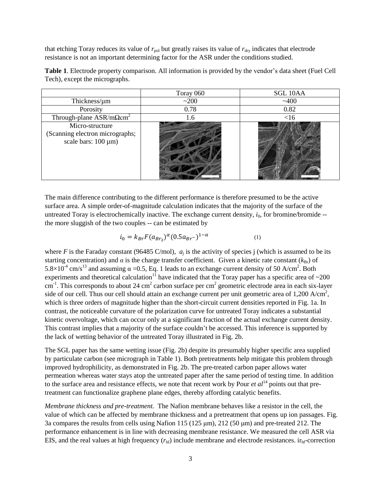that etching Toray reduces its value of  $r_{pol}$  but greatly raises its value of  $r_{\text{dry}}$  indicates that electrode resistance is not an important determining factor for the ASR under the conditions studied.

|                                                                                               | Toray 060 | <b>SGL 10AA</b> |
|-----------------------------------------------------------------------------------------------|-----------|-----------------|
| Thickness/ $\mu$ m                                                                            | ~200      | ~1400           |
| Porosity                                                                                      | 0.78      | 0.82            |
| Through-plane $ASR/m\Omega$ cm <sup>2</sup>                                                   | 1.6       | $<$ 16          |
| Micro-structure<br>(Scanning electron micrographs;<br>scale bars: $100 \text{ }\mu\text{m}$ ) |           |                 |

**Table 1**. Electrode property comparison. All information is provided by the vendor's data sheet (Fuel Cell Tech), except the micrographs.

The main difference contributing to the different performance is therefore presumed to be the active surface area. A simple order-of-magnitude calculation indicates that the majority of the surface of the untreated Toray is electrochemically inactive. The exchange current density,  $i_0$ , for bromine/bromide -the more sluggish of the two couples -- can be estimated by

$$
i_0 = k_{Br} F(a_{Br_2})^{\alpha} (0.5a_{Br^-})^{1-\alpha}
$$
 (1)

where *F* is the Faraday constant (96485 C/mol),  $a_j$  is the activity of species j (which is assumed to be its starting concentration) and  $\alpha$  is the charge transfer coefficient. Given a kinetic rate constant ( $k_{\text{Br}}$ ) of  $5.8 \times 10^{-4}$  cm/s<sup>13</sup> and assuming  $\alpha = 0.5$ , Eq. 1 leads to an exchange current density of 50 A/cm<sup>2</sup>. Both experiments and theoretical calculation<sup>11</sup> have indicated that the Toray paper has a specific area of  $\sim$ 200 cm<sup>-1</sup>. This corresponds to about 24 cm<sup>2</sup> carbon surface per cm<sup>2</sup> geometric electrode area in each six-layer side of our cell. Thus our cell should attain an exchange current per unit geometric area of 1,200 A/cm<sup>2</sup>, which is three orders of magnitude higher than the short-circuit current densities reported in Fig. 1a. In contrast, the noticeable curvature of the polarization curve for untreated Toray indicates a substantial kinetic overvoltage, which can occur only at a significant fraction of the actual exchange current density. This contrast implies that a majority of the surface couldn't be accessed. This inference is supported by the lack of wetting behavior of the untreated Toray illustrated in Fig. 2b.

The SGL paper has the same wetting issue (Fig. 2b) despite its presumably higher specific area supplied by particulate carbon (see micrograph in Table 1). Both pretreatments help mitigate this problem through improved hydrophilicity, as demonstrated in Fig. 2b. The pre-treated carbon paper allows water permeation whereas water stays atop the untreated paper after the same period of testing time. In addition to the surface area and resistance effects, we note that recent work by Pour *et*  $al^{14}$  points out that pretreatment can functionalize graphene plane edges, thereby affording catalytic benefits.

*Membrane thickness and pre-treatment.* The Nafion membrane behaves like a resistor in the cell, the value of which can be affected by membrane thickness and a pretreatment that opens up ion passages. Fig. 3a compares the results from cells using Nafion 115 (125 μm), 212 (50 μm) and pre-treated 212. The performance enhancement is in line with decreasing membrane resistance. We measured the cell ASR via EIS, and the real values at high frequency  $(r<sub>hf</sub>)$  include membrane and electrode resistances. ir $<sub>hf</sub>$ -correction</sub>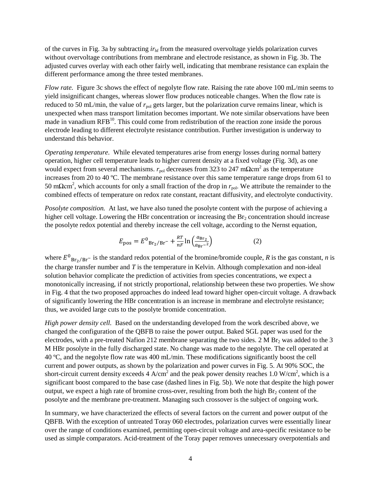of the curves in Fig. 3a by subtracting  $ir<sub>hf</sub>$  from the measured overvoltage yields polarization curves without overvoltage contributions from membrane and electrode resistance, as shown in Fig. 3b. The adjusted curves overlay with each other fairly well, indicating that membrane resistance can explain the different performance among the three tested membranes.

*Flow rate.* Figure 3c shows the effect of negolyte flow rate. Raising the rate above 100 mL/min seems to yield insignificant changes, whereas slower flow produces noticeable changes. When the flow rate is reduced to 50 mL/min, the value of  $r_{pol}$  gets larger, but the polarization curve remains linear, which is unexpected when mass transport limitation becomes important. We note similar observations have been made in vanadium RFB<sup>10</sup>. This could come from redistribution of the reaction zone inside the porous electrode leading to different electrolyte resistance contribution. Further investigation is underway to understand this behavior.

*Operating temperature.* While elevated temperatures arise from energy losses during normal battery operation, higher cell temperature leads to higher current density at a fixed voltage (Fig. 3d), as one would expect from several mechanisms. *r*<sub>pol</sub> decreases from 323 to 247 mΩcm<sup>2</sup> as the temperature increases from 20 to 40  $\mathbb{C}$ . The membrane resistance over this same temperature range drops from 61 to 50 mΩcm<sup>2</sup>, which accounts for only a small fraction of the drop in *r*<sub>pol</sub>. We attribute the remainder to the combined effects of temperature on redox rate constant, reactant diffusivity, and electrolyte conductivity.

*Posolyte composition.* At last, we have also tuned the posolyte content with the purpose of achieving a higher cell voltage. Lowering the HBr concentration or increasing the  $Br<sub>2</sub>$  concentration should increase the posolyte redox potential and thereby increase the cell voltage, according to the Nernst equation,

$$
E_{\rm pos} = E^0_{\rm Br_2/Br^-} + \frac{RT}{nF} \ln \left( \frac{a_{\rm Br_2}}{a_{\rm Br^-}{}^2} \right) \tag{2}
$$

where  $E^0$ <sub>Br<sub>2</sub>/Br<sup>-</sup> is the standard redox potential of the bromine/bromide couple, *R* is the gas constant, *n* is</sub> the charge transfer number and *T* is the temperature in Kelvin. Although complexation and non-ideal solution behavior complicate the prediction of activities from species concentrations, we expect a monotonically increasing, if not strictly proportional, relationship between these two properties. We show in Fig. 4 that the two proposed approaches do indeed lead toward higher open-circuit voltage. A drawback of significantly lowering the HBr concentration is an increase in membrane and electrolyte resistance; thus, we avoided large cuts to the posolyte bromide concentration.

*High power density cell.* Based on the understanding developed from the work described above, we changed the configuration of the QBFB to raise the power output. Baked SGL paper was used for the electrodes, with a pre-treated Nafion 212 membrane separating the two sides.  $2 M Br<sub>2</sub>$  was added to the 3 M HBr posolyte in the fully discharged state. No change was made to the negolyte. The cell operated at 40  $\degree$ C, and the negolyte flow rate was 400 mL/min. These modifications significantly boost the cell current and power outputs, as shown by the polarization and power curves in Fig. 5. At 90% SOC, the short-circuit current density exceeds 4 A/cm<sup>2</sup> and the peak power density reaches 1.0 W/cm<sup>2</sup>, which is a significant boost compared to the base case (dashed lines in Fig. 5b). We note that despite the high power output, we expect a high rate of bromine cross-over, resulting from both the high  $\text{Br}_2$  content of the posolyte and the membrane pre-treatment. Managing such crossover is the subject of ongoing work.

In summary, we have characterized the effects of several factors on the current and power output of the QBFB. With the exception of untreated Toray 060 electrodes, polarization curves were essentially linear over the range of conditions examined, permitting open-circuit voltage and area-specific resistance to be used as simple comparators. Acid-treatment of the Toray paper removes unnecessary overpotentials and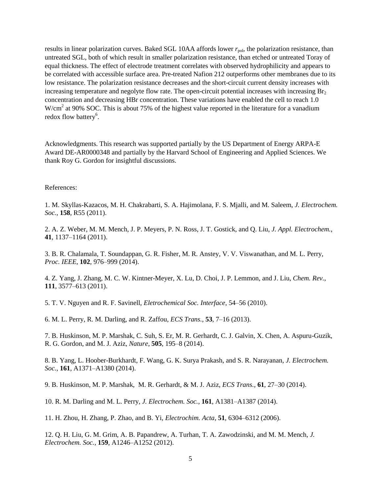results in linear polarization curves. Baked SGL 10AA affords lower  $r_{\text{pol}}$ , the polarization resistance, than untreated SGL, both of which result in smaller polarization resistance, than etched or untreated Toray of equal thickness. The effect of electrode treatment correlates with observed hydrophilicity and appears to be correlated with accessible surface area. Pre-treated Nafion 212 outperforms other membranes due to its low resistance. The polarization resistance decreases and the short-circuit current density increases with increasing temperature and negolyte flow rate. The open-circuit potential increases with increasing  $Br<sub>2</sub>$ concentration and decreasing HBr concentration. These variations have enabled the cell to reach 1.0 W/cm<sup>2</sup> at 90% SOC. This is about 75% of the highest value reported in the literature for a vanadium redox flow battery<sup>6</sup>.

Acknowledgments. This research was supported partially by the US Department of Energy ARPA-E Award DE-AR0000348 and partially by the Harvard School of Engineering and Applied Sciences. We thank Roy G. Gordon for insightful discussions.

References:

1. M. Skyllas-Kazacos, M. H. Chakrabarti, S. A. Hajimolana, F. S. Mjalli, and M. Saleem, *J. Electrochem. Soc.*, **158**, R55 (2011).

2. A. Z. Weber, M. M. Mench, J. P. Meyers, P. N. Ross, J. T. Gostick, and Q. Liu, *J. Appl. Electrochem.*, **41**, 1137–1164 (2011).

3. B. R. Chalamala, T. Soundappan, G. R. Fisher, M. R. Anstey, V. V. Viswanathan, and M. L. Perry, *Proc. IEEE*, **102**, 976–999 (2014).

4. Z. Yang, J. Zhang, M. C. W. Kintner-Meyer, X. Lu, D. Choi, J. P. Lemmon, and J. Liu, *Chem. Rev.*, **111**, 3577–613 (2011).

5. T. V. Nguyen and R. F. Savinell, *Eletrochemical Soc. Interface*, 54–56 (2010).

6. M. L. Perry, R. M. Darling, and R. Zaffou, *ECS Trans.*, **53**, 7–16 (2013).

7. B. Huskinson, M. P. Marshak, C. Suh, S. Er, M. R. Gerhardt, C. J. Galvin, X. Chen, A. Aspuru-Guzik, R. G. Gordon, and M. J. Aziz, *Nature*, **505**, 195–8 (2014).

8. B. Yang, L. Hoober-Burkhardt, F. Wang, G. K. Surya Prakash, and S. R. Narayanan, *J. Electrochem. Soc.*, **161**, A1371–A1380 (2014).

9. B. Huskinson, M. P. Marshak, M. R. Gerhardt, & M. J. Aziz, *ECS Trans.*, **61**, 27–30 (2014).

10. R. M. Darling and M. L. Perry, *J. Electrochem. Soc.*, **161**, A1381–A1387 (2014).

11. H. Zhou, H. Zhang, P. Zhao, and B. Yi, *Electrochim. Acta*, **51**, 6304–6312 (2006).

12. Q. H. Liu, G. M. Grim, A. B. Papandrew, A. Turhan, T. A. Zawodzinski, and M. M. Mench, *J. Electrochem. Soc.*, **159**, A1246–A1252 (2012).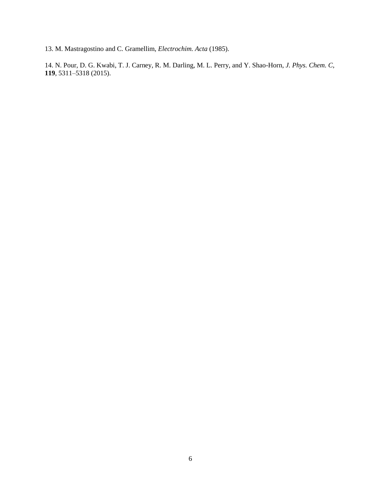13. M. Mastragostino and C. Gramellim, *Electrochim. Acta* (1985).

14. N. Pour, D. G. Kwabi, T. J. Carney, R. M. Darling, M. L. Perry, and Y. Shao-Horn, *J. Phys. Chem. C*, **119**, 5311–5318 (2015).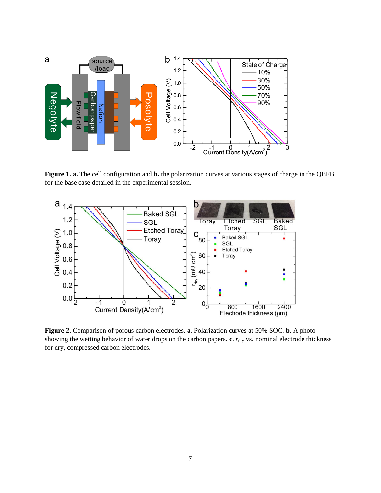

**Figure 1. a.** The cell configuration and **b.** the polarization curves at various stages of charge in the QBFB, for the base case detailed in the experimental session.



**Figure 2.** Comparison of porous carbon electrodes. **a**. Polarization curves at 50% SOC. **b**. A photo showing the wetting behavior of water drops on the carbon papers. **c**.  $r_{\text{dry}}$  vs. nominal electrode thickness for dry, compressed carbon electrodes.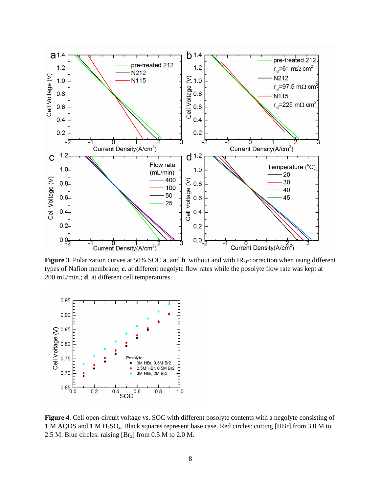

**Figure 3**. Polarization curves at 50% SOC **a**. and **b**. without and with IR<sub>hf</sub>-correction when using different types of Nafion membrane; **c**. at different negolyte flow rates while the posolyte flow rate was kept at 200 mL/min.; **d**. at different cell temperatures.



**Figure 4**. Cell open-circuit voltage vs. SOC with different posolyte contents with a negolyte consisting of 1 M AQDS and 1 M H2SO4. Black squares represent base case. Red circles: cutting [HBr] from 3.0 M to 2.5 M. Blue circles: raising  $[Br_2]$  from 0.5 M to 2.0 M.